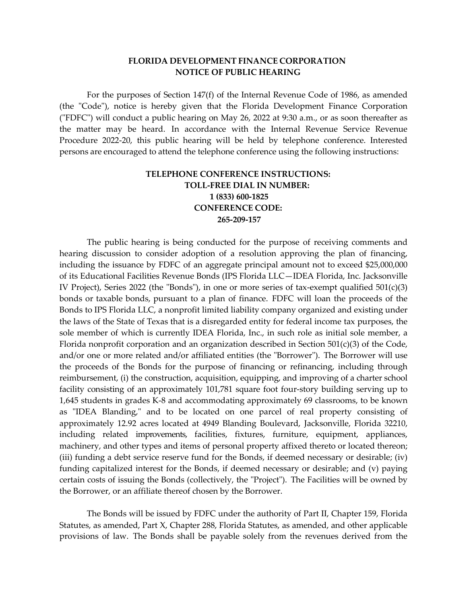## **FLORIDA DEVELOPMENT FINANCE CORPORATION NOTICE OF PUBLIC HEARING**

For the purposes of Section 147(f) of the Internal Revenue Code of 1986, as amended (the "Code"), notice is hereby given that the Florida Development Finance Corporation ("FDFC") will conduct a public hearing on May 26, 2022 at 9:30 a.m., or as soon thereafter as the matter may be heard. In accordance with the Internal Revenue Service Revenue Procedure 2022-20, this public hearing will be held by telephone conference. Interested persons are encouraged to attend the telephone conference using the following instructions:

## **TELEPHONE CONFERENCE INSTRUCTIONS: TOLL-FREE DIAL IN NUMBER: 1 (833) 600-1825 CONFERENCE CODE: 265-209-157**

The public hearing is being conducted for the purpose of receiving comments and hearing discussion to consider adoption of a resolution approving the plan of financing, including the issuance by FDFC of an aggregate principal amount not to exceed \$25,000,000 of its Educational Facilities Revenue Bonds (IPS Florida LLC—IDEA Florida, Inc. Jacksonville IV Project), Series 2022 (the "Bonds"), in one or more series of tax-exempt qualified  $501(c)(3)$ bonds or taxable bonds, pursuant to a plan of finance. FDFC will loan the proceeds of the Bonds to IPS Florida LLC, a nonprofit limited liability company organized and existing under the laws of the State of Texas that is a disregarded entity for federal income tax purposes, the sole member of which is currently IDEA Florida, Inc., in such role as initial sole member, a Florida nonprofit corporation and an organization described in Section  $501(c)(3)$  of the Code, and/or one or more related and/or affiliated entities (the "Borrower"). The Borrower will use the proceeds of the Bonds for the purpose of financing or refinancing, including through reimbursement, (i) the construction, acquisition, equipping, and improving of a charter school facility consisting of an approximately 101,781 square foot four-story building serving up to 1,645 students in grades K-8 and accommodating approximately 69 classrooms, to be known as "IDEA Blanding," and to be located on one parcel of real property consisting of approximately 12.92 acres located at 4949 Blanding Boulevard, Jacksonville, Florida 32210, including related improvements, facilities, fixtures, furniture, equipment, appliances, machinery, and other types and items of personal property affixed thereto or located thereon; (iii) funding a debt service reserve fund for the Bonds, if deemed necessary or desirable; (iv) funding capitalized interest for the Bonds, if deemed necessary or desirable; and (v) paying certain costs of issuing the Bonds (collectively, the "Project"). The Facilities will be owned by the Borrower, or an affiliate thereof chosen by the Borrower.

The Bonds will be issued by FDFC under the authority of Part II, Chapter 159, Florida Statutes, as amended, Part X, Chapter 288, Florida Statutes, as amended, and other applicable provisions of law. The Bonds shall be payable solely from the revenues derived from the